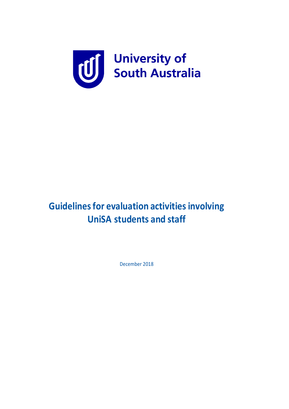

# **Guidelines for evaluation activities involving UniSA students and staff**

December 2018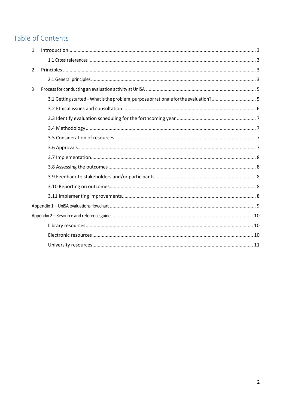# Table of Contents

| $\mathbf{1}$ |                                                                                      |  |
|--------------|--------------------------------------------------------------------------------------|--|
|              |                                                                                      |  |
| 2            |                                                                                      |  |
|              |                                                                                      |  |
| 3            |                                                                                      |  |
|              | 3.1 Getting started - What is the problem, purpose or rationale for the evaluation?5 |  |
|              |                                                                                      |  |
|              |                                                                                      |  |
|              |                                                                                      |  |
|              |                                                                                      |  |
|              |                                                                                      |  |
|              |                                                                                      |  |
|              |                                                                                      |  |
|              |                                                                                      |  |
|              |                                                                                      |  |
|              |                                                                                      |  |
|              |                                                                                      |  |
|              |                                                                                      |  |
|              |                                                                                      |  |
|              |                                                                                      |  |
|              |                                                                                      |  |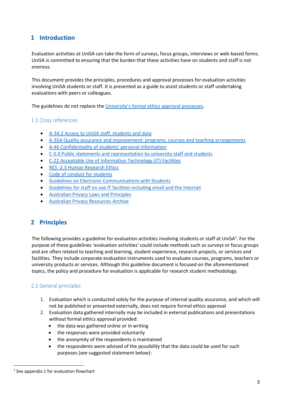# <span id="page-2-0"></span>**1 Introduction**

Evaluation activities at UniSA can take the form of surveys, focus groups, interviews or web-based forms. UniSA is committed to ensuring that the burden that these activities have on students and staff is not onerous.

This document provides the principles, procedures and approval processes for evaluation activities involving UniSA students or staff. It is presented as a guide to assist students or staff undertaking evaluations with peers or colleagues.

The guidelines do not replace the [University's formal ethics approval processes](http://www.unisa.edu.au/res/ethics/human.asp).

## <span id="page-2-1"></span>1.1 Cross references

- A-34.2 [Access to UniSA staff, students and data](https://i.unisa.edu.au/policies-and-procedures/university-policies/academic/a-34/)
- [A-35A Quality assurance and improvement: programs, courses and teaching arrangements](http://i.unisa.edu.au/policies-and-procedures/university-policies/academic/a-35/?_ga=2.255216141.48207955.1543181817-307184769.1539553484)
- A-[46 Confidentiality of students' personal information](https://i.unisa.edu.au/policies-and-procedures/university-policies/academic/a-46/)
- [C-5.0 Public statements and representation by university staff and students](http://www.unisa.edu.au/research/integrity/policies-procedures-codes-and-legislation/)
- [C-22 Acceptable Use of Information Technology \(IT\) Facilities](https://i.unisa.edu.au/policies-and-procedures/university-policies/corporate/c-22/)
- [RES -2.3 Human Research Ethics](http://i.unisa.edu.au/policies-and-procedures/university-policies/research/res-2/?_ga=2.15008435.48207955.1543181817-307184769.1539553484)
- [Code of conduct for students](https://i.unisa.edu.au/policies-and-procedures/codes/students/)
- [Guidelines on Electronic Communications with Students](https://search.unisa.edu.au/s/redirect?rank=1&collection=study-search&url=https%3A%2F%2Fi.unisa.edu.au%2Fsiteassets%2Fpolicies-and-procedures%2Fdocs%2Fguidelines_electronic_communications_with_students_fp.pdf&index_url=https%3A%2F%2Fi.unisa.edu.au%2Fsiteassets%2Fpolicies-and-procedures%2Fdocs%2Fguidelines_electronic_communications_with_students_fp.pdf&auth=AiDwMA7zeEbnG37pYZks%2Bg&query=guidelines+on+electronic+communications+with+students+%7C%5BpmpProgramsStudentType%3A%22%24%2B%2B+International+%24%2B%2B%22+pmpProgramsStudentType%3A%22%24%2B%2B+Australian+%24%2B%2B%22%5D+%7CpeopleFacetUnitsOthers%3A%22%24%2B%2B+All+%24%2B%2B%22+%7CpeopleStaff1%3A%22%24%2B%2B+All+%24%2B%2B%22+%7CpeopleFacetCampus%3A%22%24%2B%2B+All+%24%2B%2B%22+%7CpeopleFacetSchoolsDivision%3A%22%24%2B%2B+All+%24%2B%2B%22+%7Ctab%3A%22%24%2B%2B+Everything+%24%2B%2B%22+%7CpeopleFacetResearchArea%3A%22%24%2B%2B+All+%24%2B%2B%22+%7CfacetLevelStudy%3A%22%24%2B%2B+All+%24%2B%2B%22+%7CfacetProgramsCampus%3A%22%24%2B%2B+All+%24%2B%2B%22&profile=_default)
- [Guidelines for staff on use IT facilities including email and the Internet](https://i.unisa.edu.au/policies-and-procedures/codes/miscellaneous/IT-facilities-staff/)
- [Australian Privacy Laws and Principles](https://www.oaic.gov.au/privacy-law/privacy-act/)
- [Australian Privacy Resources Archive](https://www.oaic.gov.au/privacy-law/privacy-archive/privacy-resources-archive/)

# <span id="page-2-2"></span>**2 Principles**

The following provides a guideline for evaluation activities involving students or staff at UniSA<sup>1</sup>. For the purpose of these guidelines 'evaluation activities' could include methods such as surveys or focus groups and are often related to teaching and learning, student experience, research projects, or services and facilities. They include corporate evaluation instruments used to evaluate courses, programs, teachers or university products or services. Although this guideline document is focused on the aforementioned topics, the policy and procedure for evaluation is applicable for research student methodology.

#### <span id="page-2-3"></span>2.1 General principles

- 1. Evaluation which is conducted solely for the purpose of internal quality assurance, and which will not be published or presented externally, does not require formal ethics approval
- 2. Evaluation data gathered internally may be included in external publications and presentations *without* formal ethics approval provided:
	- the data was gathered online or in writing
	- the responses were provided voluntarily
	- the anonymity of the respondents is maintained
	- the respondents were advised of the possibility that the data could be used for such purposes (see suggested statement below):

 $\overline{a}$ 

<sup>&</sup>lt;sup>1</sup> See appendix 1 for evaluation flowchart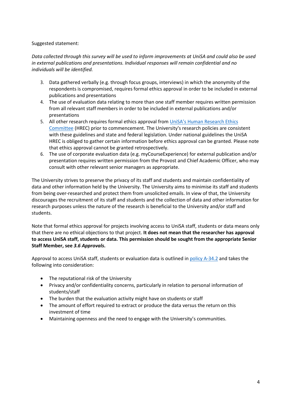#### Suggested statement:

*Data collected through this survey will be used to inform improvements at UniSA and could also be used in external publications and presentations. Individual responses will remain confidential and no individuals will be identified.*

- 3. Data gathered verbally (e.g. through focus groups, interviews) in which the anonymity of the respondents is compromised, requires formal ethics approval in order to be included in external publications and presentations
- 4. The use of evaluation data relating to more than one staff member requires written permission from all relevant staff members in order to be included in external publications and/or presentations
- 5. All other research requires formal ethics approval from UniSA's Hum[an Research Ethics](http://u.unisa.edu.au/research/integrity/research-ethics/human-ethics/)  [Committee](http://u.unisa.edu.au/research/integrity/research-ethics/human-ethics/) (HREC) prior to commencement. The University's research policies are consistent with these guidelines and state and federal legislation. Under national guidelines the UniSA HREC is obliged to gather certain information before ethics approval can be granted. Please note that ethics approval cannot be granted retrospectively.
- 6. The use of corporate evaluation data (e.g. myCourseExperience) for external publication and/or presentation requires written permission from the Provost and Chief Academic Officer, who may consult with other relevant senior managers as appropriate.

The University strives to preserve the privacy of its staff and students and maintain confidentiality of data and other information held by the University. The University aims to minimise its staff and students from being over-researched and protect them from unsolicited emails. In view of that, the University discourages the recruitment of its staff and students and the collection of data and other information for research purposes unless the nature of the research is beneficial to the University and/or staff and students.

Note that formal ethics approval for projects involving access to UniSA staff, students or data means only that there are no ethical objections to that project. **It does not mean that the researcher has approval to access UniSA staff, students or data. This permission should be sought from the appropriate Senior Staff Member, see** *3.6 Approvals***.** 

Approval to access UniSA staff, students or evaluation data is outlined in [policy](http://i.unisa.edu.au/policies-and-procedures/university-policies/academic/a-34/) A-34.2 and takes the following into consideration:

- The reputational risk of the University
- Privacy and/or confidentiality concerns, particularly in relation to personal information of students/staff
- The burden that the evaluation activity might have on students or staff
- The amount of effort required to extract or produce the data versus the return on this investment of time
- <span id="page-3-0"></span>Maintaining openness and the need to engage with the University's communities.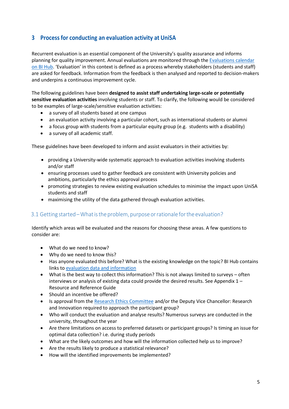# **3 Process for conducting an evaluation activity at UniSA**

Recurrent evaluation is an essential component of the University's quality assurance and informs planning for quality improvement. Annual evaluations are monitored through the Evaluations calendar [on BI Hub](https://mymailunisaedu.sharepoint.com/teams/BIP/bihub/Lists/Evaluations%20and%20Reporting%20Calendar/Evaluations%20and%20Reporting%20Calendar.aspx). 'Evaluation' in this context is defined as a process whereby stakeholders (students and staff) are asked for feedback. Information from the feedback is then analysed and reported to decision-makers and underpins a continuous improvement cycle.

The following guidelines have been **designed to assist staff undertaking large-scale or potentially sensitive evaluation activities** involving students or staff. To clarify, the following would be considered to be examples of large-scale/sensitive evaluation activities:

- a survey of all students based at one campus
- an evaluation activity involving a particular cohort, such as international students or alumni
- a focus group with students from a particular equity group (e.g. students with a disability)
- a survey of all academic staff.

These guidelines have been developed to inform and assist evaluators in their activities by:

- providing a University-wide systematic approach to evaluation activities involving students and/or staff
- ensuring processes used to gather feedback are consistent with University policies and ambitions, particularly the ethics approval process
- promoting strategies to review existing evaluation schedules to minimise the impact upon UniSA students and staff
- maximising the utility of the data gathered through evaluation activities.

#### <span id="page-4-0"></span>3.1 Getting started – What is the problem, purpose or rationale for the evaluation?

Identify which areas will be evaluated and the reasons for choosing these areas. A few questions to consider are:

- What do we need to know?
- Why do we need to know this?
- Has anyone evaluated this before? What is the existing knowledge on the topic? BI Hub contains links to [evaluation data and information](https://mymailunisaedu.sharepoint.com/teams/BIP/bihub/SitePages/Topic%20-%20Evaluations.aspx)
- What is the best way to collect this information? This is not always limited to surveys often interviews or analysis of existing data could provide the desired results. See Appendix  $1 -$ Resource and Reference Guide
- Should an incentive be offered?
- Is approval from the [Research Ethics Committee](http://www.unisa.edu.au/research/integrity/research-ethics/) and/or the Deputy Vice Chancellor: Research and Innovation required to approach the participant group?
- Who will conduct the evaluation and analyse results? Numerous surveys are conducted in the university, throughout the year
- Are there limitations on access to preferred datasets or participant groups? Is timing an issue for optimal data collection? i.e. during study periods
- What are the likely outcomes and how will the information collected help us to improve?
- Are the results likely to produce a statistical relevance?
- How will the identified improvements be implemented?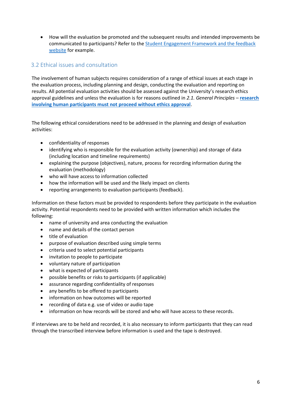How will the evaluation be promoted and the subsequent results and intended improvements be communicated to participants? Refer to th[e Student Engagement Framework and the feedback](https://i.unisa.edu.au/student-feedback-and-complaints/student-surveys/)  [website](https://i.unisa.edu.au/student-feedback-and-complaints/student-surveys/) for example.

# <span id="page-5-0"></span>3.2 Ethical issues and consultation

The involvement of human subjects requires consideration of a range of ethical issues at each stage in the evaluation process, including planning and design, conducting the evaluation and reporting on results. All potential evaluation activities should be assessed against the University's research ethics approval guidelines and unless the evaluation is for reasons outlined in *2.1. General Principles* – **[research](http://www.unisa.edu.au/research/integrity/research-ethics/human-ethics/)  [involving human participants must not proceed without ethics approval](http://www.unisa.edu.au/research/integrity/research-ethics/human-ethics/)**.

[The following ethical considerations need to be addressed in](http://www.unisa.edu.au/res/ethics/human.asp%23guidelines) the planning and design of evaluation activities:

- confidentiality of responses
- identifying who is responsible for the evaluation activity (ownership) and storage of data (including location and timeline requirements)
- explaining the purpose (objectives), nature, process for recording information during the evaluation (methodology)
- who will have access to information collected
- how the information will be used and the likely impact on clients
- reporting arrangements to evaluation participants (feedback).

Information on these factors must be provided to respondents before they participate in the evaluation activity. Potential respondents need to be provided with written information which includes the following:

- name of university and area conducting the evaluation
- name and details of the contact person
- title of evaluation
- purpose of evaluation described using simple terms
- criteria used to select potential participants
- invitation to people to participate
- voluntary nature of participation
- what is expected of participants
- possible benefits or risks to participants (if applicable)
- assurance regarding confidentiality of responses
- any benefits to be offered to participants
- information on how outcomes will be reported
- recording of data e.g. use of video or audio tape
- information on how records will be stored and who will have access to these records.

<span id="page-5-1"></span>If interviews are to be held and recorded, it is also necessary to inform participants that they can read through the transcribed interview before information is used and the tape is destroyed.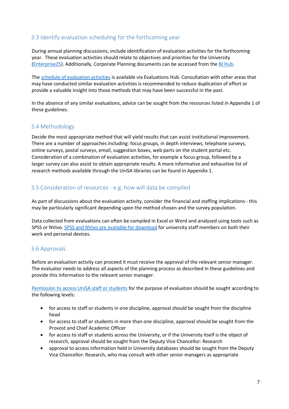## 3.3 Identify evaluation scheduling for the forthcoming year

During annual planning discussions, include identification of evaluation activities for the forthcoming year. These evaluation activities should relate to objectives and priorities for the University [\(Enterprise25\)](http://www.unisa.edu.au/enterprise25/). Additionally, Corporate Planning documents can be accessed from the [BI Hub.](https://mymailunisaedu.sharepoint.com/teams/BIP/bihub/SitePages/Topic%20-%20Key%20Statistics,%20Planning,%20Review%20and%20A35A.aspx)

The [schedule of evaluation activities](https://mymailunisaedu.sharepoint.com/teams/BIP/bihub/Lists/Evaluations%20and%20Reporting%20Calendar/Evaluations%20and%20Reporting%20Calendar.aspx) is available via Evaluations Hub. Consultation with other areas that may have conducted similar evaluation activities is recommended to reduce duplication of effort or provide a valuable insight into those methods that may have been successful in the past.

In the absence of any similar evaluations, advice can be sought from the resources listed in Appendix 1 of these guidelines.

#### <span id="page-6-0"></span>3.4 Methodology

Decide the most appropriate method that will yield results that can assist institutional improvement. There are a number of approaches including: focus groups, in depth interviews, telephone surveys, online surveys, postal surveys, email, suggestion boxes, web parts on the student portal etc. Consideration of a combination of evaluation activities, for example a focus group, followed by a larger survey can also assist to obtain appropriate results. A more informative and exhaustive list of research methods available through the UniSA libraries can be found in Appendix 1.

#### <span id="page-6-1"></span>3.5 Consideration of resources - e.g. how will data be compiled

As part of discussions about the evaluation activity, consider the financial and staffing implications - this may be particularly significant depending upon the method chosen and the survey population.

Data collected from evaluations can often be compiled in Excel or Word and analysed using tools such as SPSS or NViv[o.](http://www.unisa.edu.au/ists/ithelpdesk/faqs/applications/) [SPSS and NVivo are available for download](http://w3.unisa.edu.au/ists/new/staff/software/licensing.htm) for university staff members on both their work and personal devices.

#### <span id="page-6-2"></span>3.6 Approvals

Before an evaluation activity can proceed it must receive the approval of the relevant senior manager. The evaluator needs to address all aspects of the planning process as described in these guidelines and provide this information to the relevant senior manager.

[Permission to access UniSA staff or students](https://i.unisa.edu.au/policies-and-procedures/university-policies/academic/a-34/) for the purpose of evaluation should be sought according to the following levels:

- for access to staff or students in one discipline, approval should be sought from the discipline head
- for access to staff or students in more than one discipline, approval should be sought from the Provost and Chief Academic Officer
- for access to staff or students across the University, or if the University itself is the object of research, approval should be sought from the Deputy Vice Chancellor: Research
- approval to access information held in University databases should be sought from the Deputy Vice Chancellor: Research, who may consult with other senior managers as appropriate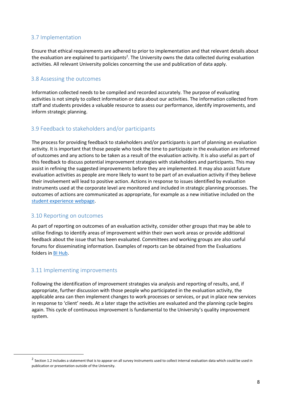#### <span id="page-7-0"></span>3.7 Implementation

Ensure that ethical requirements are adhered to prior to implementation and that relevant details about the evaluation are explained to participants<sup>2</sup>. The University owns the data collected during evaluation activities. All relevant University policies concerning the use and publication of data apply.

#### <span id="page-7-1"></span>3.8 Assessing the outcomes

Information collected needs to be compiled and recorded accurately. The purpose of evaluating activities is not simply to collect information or data about our activities. The information collected from staff and students provides a valuable resource to assess our performance, identify improvements, and inform strategic planning.

#### <span id="page-7-2"></span>3.9 Feedback to stakeholders and/or participants

The process for providing feedback to stakeholders and/or participants is part of planning an evaluation activity. It is important that those people who took the time to participate in the evaluation are informed of outcomes and any actions to be taken as a result of the evaluation activity. It is also useful as part of this feedback to discuss potential improvement strategies with stakeholders and participants. This may assist in refining the suggested improvements before they are implemented. It may also assist future evaluation activities as people are more likely to want to be part of an evaluation activity if they believe their involvement will lead to positive action. Actions in response to issues identified by evaluation instruments used at the corporate level are monitored and included in strategic planning processes. The outcomes of actions are communicated as appropriate, for example as a new initiative included on the [student experience webpage.](https://i.unisa.edu.au/students/experience-unisa/)

#### <span id="page-7-3"></span>3.10 Reporting on outcomes

As part of reporting on outcomes of an evaluation activity, consider other groups that may be able to utilise findings to identify areas of improvement within their own work areas or provide additional feedback about the issue that has been evaluated. Committees and working groups are also useful forums for disseminating information. Examples of reports can be obtained from the Evaluations folders i[n BI Hub.](https://bi.unisa.edu.au/BIReporting/bi/?perspective=home&folder=.public_folders%2FUniSA+Public%2F07.0+Evaluation&location=team)

#### <span id="page-7-4"></span>3.11 Implementing improvements

 $\overline{a}$ 

Following the identification of improvement strategies via analysis and reporting of results, and, if appropriate, further discussion with those people who participated in the evaluation activity, the applicable area can then implement changes to work processes or services, or put in place new services in response to 'client' needs. At a later stage the activities are evaluated and the planning cycle begins again. This cycle of continuous improvement is fundamental to the University's quality improvement system.

 $^2$  Section 1.2 includes a statement that is to appear on all survey instruments used to collect internal evaluation data which could be used in publication or presentation outside of the University.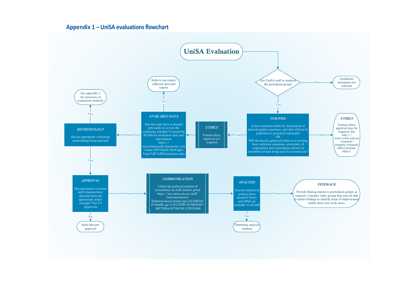

<span id="page-8-0"></span>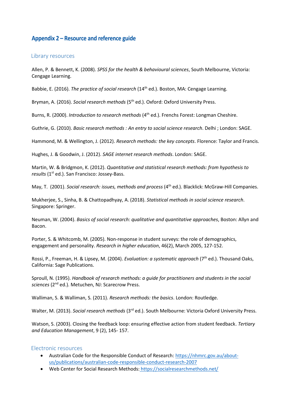#### <span id="page-9-0"></span>**Appendix 2 – Resource and reference guide**

#### <span id="page-9-1"></span>Library resources

Allen, P. & Bennett, K. (2008). *SPSS for the health & behavioural sciences*, South Melbourne, Victoria: Cengage Learning.

Babbie, E. (2016). The practice of social research (14<sup>th</sup> ed.). Boston, MA: Cengage Learning.

Bryman, A. (2016). *Social research methods* (5<sup>th</sup> ed.). Oxford: Oxford University Press.

Burns, R. (2000). Introduction to research methods (4<sup>th</sup> ed.). Frenchs Forest: Longman Cheshire.

Guthrie, G. (2010). *Basic research methods : An entry to social science research*. Delhi ; London: SAGE.

Hammond, M. & Wellington, J. (2012). *Research methods: the key concepts*. Florence: Taylor and Francis.

Hughes, J. & Goodwin, J. (2012). *SAGE internet research methods*. London: SAGE.

Martin, W. & Bridgmon, K. (2012). *Quantitative and statistical research methods: from hypothesis to*  results (1<sup>st</sup> ed.). San Francisco: Jossey-Bass.

May, T. (2001). *Social research: issues, methods and process* (4<sup>th</sup> ed.). Blacklick: McGraw-Hill Companies.

Mukherjee, S., Sinha, B. & Chattopadhyay, A. (2018). *Statistical methods in social science research*. Singapore: Springer.

Neuman, W. (2004). *Basics of social research: qualitative and quantitative approaches*, Boston: Allyn and Bacon.

Porter, S. & Whitcomb, M. (2005). Non-response in student surveys: the role of demographics, engagement and personality. *Research in higher education*, 46(2), March 2005, 127-152.

Rossi, P., Freeman, H. & Lipsey, M. (2004). *Evaluation: a systematic approach* (7<sup>th</sup> ed.). Thousand Oaks, California: Sage Publications.

Sproull, N. (1995). *Handbook of research methods: a guide for practitioners and students in the social*  sciences (2<sup>nd</sup> ed.). Metuchen, NJ: Scarecrow Press.

Walliman, S. & Walliman, S. (2011). *Research methods: the basics*. London: Routledge.

Walter, M. (2013). *Social research methods* (3<sup>rd</sup> ed.). South Melbourne: Victoria Oxford University Press.

Watson, S. (2003). Closing the feedback loop: ensuring effective action from student feedback. *Tertiary and Education Management*, 9 (2), 145- 157.

#### <span id="page-9-2"></span>Electronic resources

- Australian Code for the Responsible Conduct of Research: [https://nhmrc.gov.au/about](https://nhmrc.gov.au/about-us/publications/australian-code-responsible-conduct-research-2007)[us/publications/australian-code-responsible-conduct-research-2007](https://nhmrc.gov.au/about-us/publications/australian-code-responsible-conduct-research-2007)
- Web Center for Social Research Methods: <https://socialresearchmethods.net/>